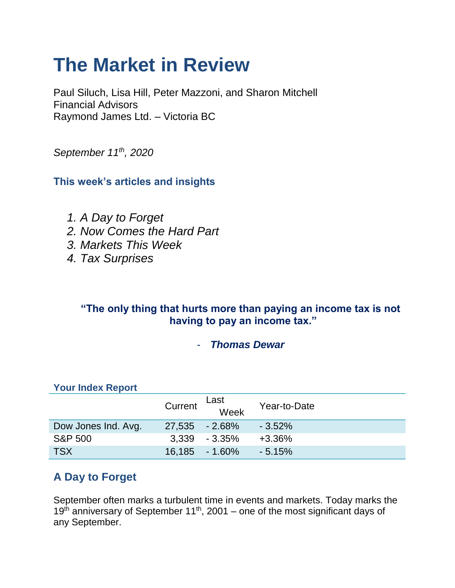# **The Market in Review**

Paul Siluch, Lisa Hill, Peter Mazzoni, and Sharon Mitchell Financial Advisors Raymond James Ltd. – Victoria BC

*September 11th, 2020*

**This week's articles and insights**

- *1. A Day to Forget*
- *2. Now Comes the Hard Part*
- *3. Markets This Week*
- *4. Tax Surprises*

## **"The only thing that hurts more than paying an income tax is not having to pay an income tax."**

#### - *Thomas Dewar*

## **Your Index Report**

|                     | Current        | Last<br>Week      | Year-to-Date |
|---------------------|----------------|-------------------|--------------|
| Dow Jones Ind. Avg. | 27,535 - 2.68% |                   | $-3.52\%$    |
| <b>S&amp;P 500</b>  |                | $3.339 - 3.35\%$  | $+3.36\%$    |
| <b>TSX</b>          |                | $16,185 - 1.60\%$ | $-5.15%$     |

# **A Day to Forget**

September often marks a turbulent time in events and markets. Today marks the 19<sup>th</sup> anniversary of September 11<sup>th</sup>, 2001 – one of the most significant days of any September.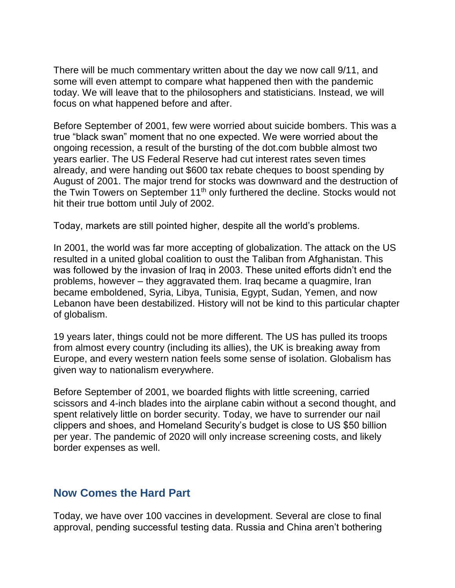There will be much commentary written about the day we now call 9/11, and some will even attempt to compare what happened then with the pandemic today. We will leave that to the philosophers and statisticians. Instead, we will focus on what happened before and after.

Before September of 2001, few were worried about suicide bombers. This was a true "black swan" moment that no one expected. We were worried about the ongoing recession, a result of the bursting of the dot.com bubble almost two years earlier. The US Federal Reserve had cut interest rates seven times already, and were handing out \$600 tax rebate cheques to boost spending by August of 2001. The major trend for stocks was downward and the destruction of the Twin Towers on September 11<sup>th</sup> only furthered the decline. Stocks would not hit their true bottom until July of 2002.

Today, markets are still pointed higher, despite all the world's problems.

In 2001, the world was far more accepting of globalization. The attack on the US resulted in a united global coalition to oust the Taliban from Afghanistan. This was followed by the invasion of Iraq in 2003. These united efforts didn't end the problems, however – they aggravated them. Iraq became a quagmire, Iran became emboldened, Syria, Libya, Tunisia, Egypt, Sudan, Yemen, and now Lebanon have been destabilized. History will not be kind to this particular chapter of globalism.

19 years later, things could not be more different. The US has pulled its troops from almost every country (including its allies), the UK is breaking away from Europe, and every western nation feels some sense of isolation. Globalism has given way to nationalism everywhere.

Before September of 2001, we boarded flights with little screening, carried scissors and 4-inch blades into the airplane cabin without a second thought, and spent relatively little on border security. Today, we have to surrender our nail clippers and shoes, and Homeland Security's budget is close to US \$50 billion per year. The pandemic of 2020 will only increase screening costs, and likely border expenses as well.

## **Now Comes the Hard Part**

Today, we have over 100 vaccines in development. Several are close to final approval, pending successful testing data. Russia and China aren't bothering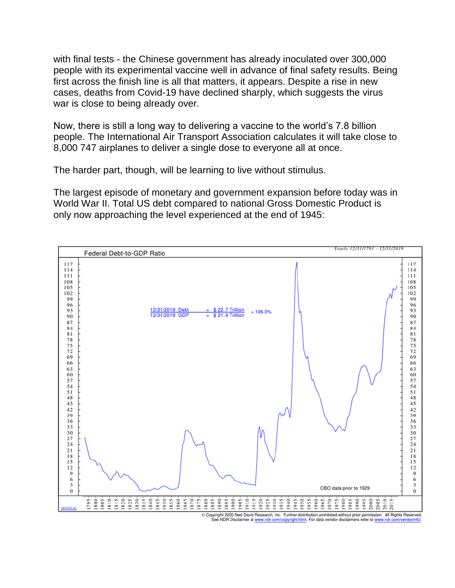with final tests - the Chinese government has already inoculated over 300,000 people with its experimental vaccine well in advance of final safety results. Being first across the finish line is all that matters, it appears. Despite a rise in new cases, deaths from Covid-19 have declined sharply, which suggests the virus war is close to being already over.

Now, there is still a long way to delivering a vaccine to the world's 7.8 billion people. The International Air Transport Association calculates it will take close to 8,000 747 airplanes to deliver a single dose to everyone all at once.

The harder part, though, will be learning to live without stimulus.

The largest episode of monetary and government expansion before today was in World War II. Total US debt compared to national Gross Domestic Product is only now approaching the level experienced at the end of 1945:



Copyright 2020 Ned Davis Research, Inc. Further distribution prohibited without prior permission. All Rights Reserved.<br>See NDR Disclaimer at www.ndr.com/copyright.html. For data vendor disclaimers refer to www.ndr.com/vend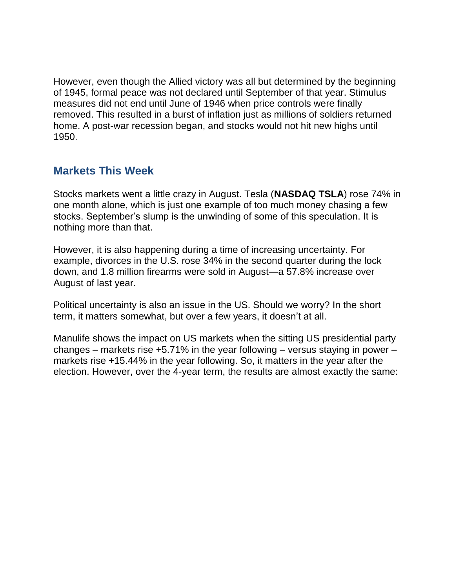However, even though the Allied victory was all but determined by the beginning of 1945, formal peace was not declared until September of that year. Stimulus measures did not end until June of 1946 when price controls were finally removed. This resulted in a burst of inflation just as millions of soldiers returned home. A post-war recession began, and stocks would not hit new highs until 1950.

#### **Markets This Week**

Stocks markets went a little crazy in August. Tesla (**NASDAQ TSLA**) rose 74% in one month alone, which is just one example of too much money chasing a few stocks. September's slump is the unwinding of some of this speculation. It is nothing more than that.

However, it is also happening during a time of increasing uncertainty. For example, divorces in the U.S. rose 34% in the second quarter during the lock down, and 1.8 million firearms were sold in August—a 57.8% increase over August of last year.

Political uncertainty is also an issue in the US. Should we worry? In the short term, it matters somewhat, but over a few years, it doesn't at all.

Manulife shows the impact on US markets when the sitting US presidential party changes – markets rise +5.71% in the year following – versus staying in power – markets rise +15.44% in the year following. So, it matters in the year after the election. However, over the 4-year term, the results are almost exactly the same: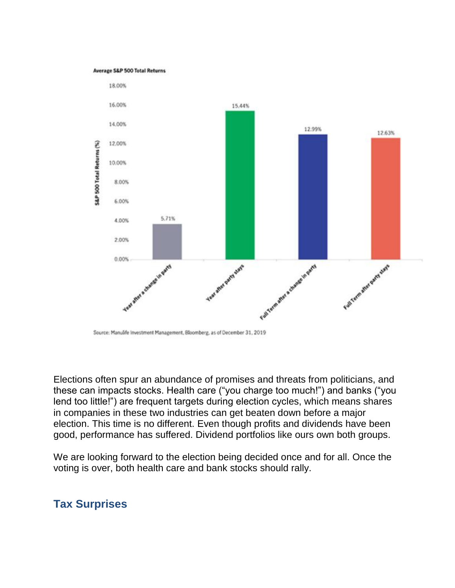#### Average S&P 500 Total Returns



Source: Manulife Investment Management, Bloomberg, as of December 31, 2019

Elections often spur an abundance of promises and threats from politicians, and these can impacts stocks. Health care ("you charge too much!") and banks ("you lend too little!") are frequent targets during election cycles, which means shares in companies in these two industries can get beaten down before a major election. This time is no different. Even though profits and dividends have been good, performance has suffered. Dividend portfolios like ours own both groups.

We are looking forward to the election being decided once and for all. Once the voting is over, both health care and bank stocks should rally.

#### **Tax Surprises**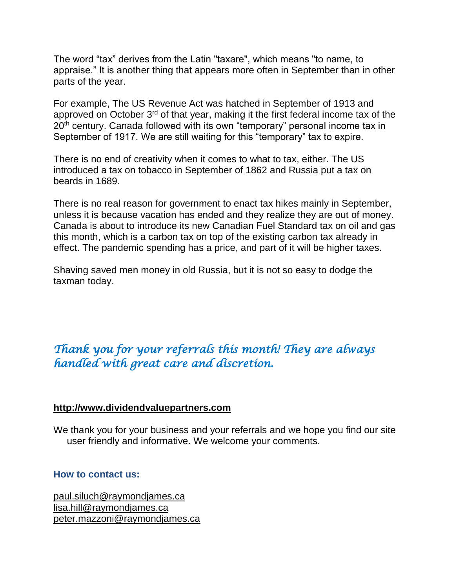The word "tax" derives from the Latin "taxare", which means "to name, to appraise." It is another thing that appears more often in September than in other parts of the year.

For example, The US Revenue Act was hatched in September of 1913 and approved on October 3<sup>rd</sup> of that year, making it the first federal income tax of the 20<sup>th</sup> century. Canada followed with its own "temporary" personal income tax in September of 1917. We are still waiting for this "temporary" tax to expire.

There is no end of creativity when it comes to what to tax, either. The US introduced a tax on tobacco in September of 1862 and Russia put a tax on beards in 1689.

There is no real reason for government to enact tax hikes mainly in September, unless it is because vacation has ended and they realize they are out of money. Canada is about to introduce its new Canadian Fuel Standard tax on oil and gas this month, which is a carbon tax on top of the existing carbon tax already in effect. The pandemic spending has a price, and part of it will be higher taxes.

Shaving saved men money in old Russia, but it is not so easy to dodge the taxman today.

## *Thank you for your referrals this month! They are always handled with great care and discretion.*

#### **[http://www.dividendvaluepartners.com](https://urldefense.proofpoint.com/v2/url?u=http-3A__www.dividendvaluepartners.com&d=DwMFAw&c=K3dQCUGiI1B95NJ6cl3GoyhMW2dvBOfimZA-83UXll0&r=_6MBBSGYsFznIBwslhTiqBKEz4pHUCTd_9tbh_EpUMY&m=scBAtuMDuWZwK1IVr5YXjdB6aRS-faGHAMq3jOn6sJU&s=enZqe4ZgcjH_33x5dT-vZq9A37d4AhNkXvjc6AbmYww&e=)**

We thank you for your business and your referrals and we hope you find our site user friendly and informative. We welcome your comments.

#### **How to contact us:**

[paul.siluch@raymondjames.ca](https://owa-kel.raymondjames.ca/owa/redir.aspx?SURL=z0BxOCXDlQ-Aad1f_a9igaARxm5Rd1VXE7UcmD4mZ3IZiacj7DPTCG0AYQBpAGwAdABvADoAcABhAHUAbAAuAHMAaQBsAHUAYwBoAEAAcgBhAHkAbQBvAG4AZABqAGEAbQBlAHMALgBjAGEA&URL=mailto%3apaul.siluch%40raymondjames.ca) [lisa.hill@raymondjames.ca](https://owa-kel.raymondjames.ca/owa/redir.aspx?SURL=glaBgdTdxPMFpiw4eumg-PzZXpo9vJyObrXLs1TKtIAZiacj7DPTCG0AYQBpAGwAdABvADoAbABpAHMAYQAuAGgAaQBsAGwAQAByAGEAeQBtAG8AbgBkAGoAYQBtAGUAcwAuAGMAYQA.&URL=mailto%3alisa.hill%40raymondjames.ca) [peter.mazzoni@raymondjames.ca](https://owa-kel.raymondjames.ca/owa/redir.aspx?SURL=3c7mDL9-cZxYXt7CvkOu20QVFy1WCaDQxUZ3BQE6vecZiacj7DPTCG0AYQBpAGwAdABvADoAcABlAHQAZQByAC4AbQBhAHoAegBvAG4AaQBAAHIAYQB5AG0AbwBuAGQAagBhAG0AZQBzAC4AYwBhAA..&URL=mailto%3apeter.mazzoni%40raymondjames.ca)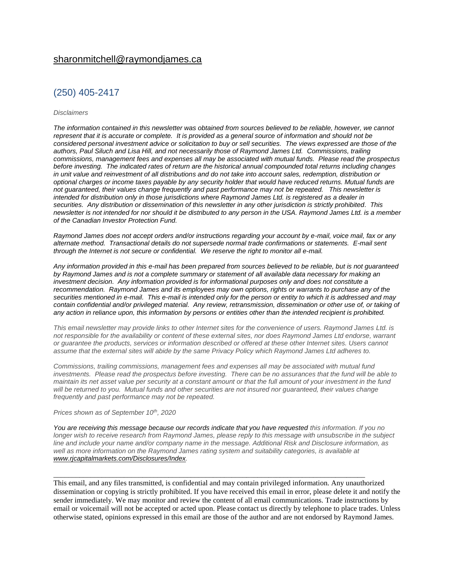#### (250) 405-2417

#### *Disclaimers*

*[The information contained in this newsletter was obtained from sources believed to be reliable, however, we cannot](https://owa-kel.raymondjames.ca/owa/redir.aspx?SURL=z0BxOCXDlQ-Aad1f_a9igaARxm5Rd1VXE7UcmD4mZ3IZiacj7DPTCG0AYQBpAGwAdABvADoAcABhAHUAbAAuAHMAaQBsAHUAYwBoAEAAcgBhAHkAbQBvAG4AZABqAGEAbQBlAHMALgBjAGEA&URL=mailto%3apaul.siluch%40raymondjames.ca)  represent that it is accurate or complete. [It is provided as a general source of information and should not be](https://owa-kel.raymondjames.ca/owa/redir.aspx?SURL=z0BxOCXDlQ-Aad1f_a9igaARxm5Rd1VXE7UcmD4mZ3IZiacj7DPTCG0AYQBpAGwAdABvADoAcABhAHUAbAAuAHMAaQBsAHUAYwBoAEAAcgBhAHkAbQBvAG4AZABqAGEAbQBlAHMALgBjAGEA&URL=mailto%3apaul.siluch%40raymondjames.ca)  [considered personal investment advice or solicitation to buy or sell securities.](https://owa-kel.raymondjames.ca/owa/redir.aspx?SURL=z0BxOCXDlQ-Aad1f_a9igaARxm5Rd1VXE7UcmD4mZ3IZiacj7DPTCG0AYQBpAGwAdABvADoAcABhAHUAbAAuAHMAaQBsAHUAYwBoAEAAcgBhAHkAbQBvAG4AZABqAGEAbQBlAHMALgBjAGEA&URL=mailto%3apaul.siluch%40raymondjames.ca) The views expressed are those of the [authors, Paul Siluch and Lisa Hill, and not necessarily those of Raymond James Ltd.](https://owa-kel.raymondjames.ca/owa/redir.aspx?SURL=z0BxOCXDlQ-Aad1f_a9igaARxm5Rd1VXE7UcmD4mZ3IZiacj7DPTCG0AYQBpAGwAdABvADoAcABhAHUAbAAuAHMAaQBsAHUAYwBoAEAAcgBhAHkAbQBvAG4AZABqAGEAbQBlAHMALgBjAGEA&URL=mailto%3apaul.siluch%40raymondjames.ca) Commissions, trailing commissions, management [fees and expenses all may be associated with mutual funds.](https://owa-kel.raymondjames.ca/owa/redir.aspx?SURL=z0BxOCXDlQ-Aad1f_a9igaARxm5Rd1VXE7UcmD4mZ3IZiacj7DPTCG0AYQBpAGwAdABvADoAcABhAHUAbAAuAHMAaQBsAHUAYwBoAEAAcgBhAHkAbQBvAG4AZABqAGEAbQBlAHMALgBjAGEA&URL=mailto%3apaul.siluch%40raymondjames.ca) Please read the prospectus before investing. [The indicated rates of return are the historical annual compounded total returns including changes](https://owa-kel.raymondjames.ca/owa/redir.aspx?SURL=z0BxOCXDlQ-Aad1f_a9igaARxm5Rd1VXE7UcmD4mZ3IZiacj7DPTCG0AYQBpAGwAdABvADoAcABhAHUAbAAuAHMAaQBsAHUAYwBoAEAAcgBhAHkAbQBvAG4AZABqAGEAbQBlAHMALgBjAGEA&URL=mailto%3apaul.siluch%40raymondjames.ca)  [in unit value and reinvestment of all distributions and do not take into account sales, redemption, distribution or](https://owa-kel.raymondjames.ca/owa/redir.aspx?SURL=z0BxOCXDlQ-Aad1f_a9igaARxm5Rd1VXE7UcmD4mZ3IZiacj7DPTCG0AYQBpAGwAdABvADoAcABhAHUAbAAuAHMAaQBsAHUAYwBoAEAAcgBhAHkAbQBvAG4AZABqAGEAbQBlAHMALgBjAGEA&URL=mailto%3apaul.siluch%40raymondjames.ca)  [optional charges or income taxes payable by any security holder that would have reduced returns. Mutual funds are](https://owa-kel.raymondjames.ca/owa/redir.aspx?SURL=z0BxOCXDlQ-Aad1f_a9igaARxm5Rd1VXE7UcmD4mZ3IZiacj7DPTCG0AYQBpAGwAdABvADoAcABhAHUAbAAuAHMAaQBsAHUAYwBoAEAAcgBhAHkAbQBvAG4AZABqAGEAbQBlAHMALgBjAGEA&URL=mailto%3apaul.siluch%40raymondjames.ca)  [not guaranteed, their values change frequently and past performance may not be repeated.](https://owa-kel.raymondjames.ca/owa/redir.aspx?SURL=z0BxOCXDlQ-Aad1f_a9igaARxm5Rd1VXE7UcmD4mZ3IZiacj7DPTCG0AYQBpAGwAdABvADoAcABhAHUAbAAuAHMAaQBsAHUAYwBoAEAAcgBhAHkAbQBvAG4AZABqAGEAbQBlAHMALgBjAGEA&URL=mailto%3apaul.siluch%40raymondjames.ca) This newsletter is [intended for distribution only in those jurisdictions where Raymond James Ltd. is registered as a dealer in](https://owa-kel.raymondjames.ca/owa/redir.aspx?SURL=z0BxOCXDlQ-Aad1f_a9igaARxm5Rd1VXE7UcmD4mZ3IZiacj7DPTCG0AYQBpAGwAdABvADoAcABhAHUAbAAuAHMAaQBsAHUAYwBoAEAAcgBhAHkAbQBvAG4AZABqAGEAbQBlAHMALgBjAGEA&URL=mailto%3apaul.siluch%40raymondjames.ca)  securities. [Any distribution or dissemination of this newsletter in any other jurisdiction is strictly prohibited.](https://owa-kel.raymondjames.ca/owa/redir.aspx?SURL=z0BxOCXDlQ-Aad1f_a9igaARxm5Rd1VXE7UcmD4mZ3IZiacj7DPTCG0AYQBpAGwAdABvADoAcABhAHUAbAAuAHMAaQBsAHUAYwBoAEAAcgBhAHkAbQBvAG4AZABqAGEAbQBlAHMALgBjAGEA&URL=mailto%3apaul.siluch%40raymondjames.ca) This [newsletter is not intended for nor should it be distributed to any person in the USA. Raymond James Ltd. is a member](https://owa-kel.raymondjames.ca/owa/redir.aspx?SURL=z0BxOCXDlQ-Aad1f_a9igaARxm5Rd1VXE7UcmD4mZ3IZiacj7DPTCG0AYQBpAGwAdABvADoAcABhAHUAbAAuAHMAaQBsAHUAYwBoAEAAcgBhAHkAbQBvAG4AZABqAGEAbQBlAHMALgBjAGEA&URL=mailto%3apaul.siluch%40raymondjames.ca)  [of the Canadian Investor Protection Fund.](https://owa-kel.raymondjames.ca/owa/redir.aspx?SURL=z0BxOCXDlQ-Aad1f_a9igaARxm5Rd1VXE7UcmD4mZ3IZiacj7DPTCG0AYQBpAGwAdABvADoAcABhAHUAbAAuAHMAaQBsAHUAYwBoAEAAcgBhAHkAbQBvAG4AZABqAGEAbQBlAHMALgBjAGEA&URL=mailto%3apaul.siluch%40raymondjames.ca)* 

*Raymond James [does not accept orders and/or instructions regarding your account by e-mail, voice mail, fax or any](https://owa-kel.raymondjames.ca/owa/redir.aspx?SURL=z0BxOCXDlQ-Aad1f_a9igaARxm5Rd1VXE7UcmD4mZ3IZiacj7DPTCG0AYQBpAGwAdABvADoAcABhAHUAbAAuAHMAaQBsAHUAYwBoAEAAcgBhAHkAbQBvAG4AZABqAGEAbQBlAHMALgBjAGEA&URL=mailto%3apaul.siluch%40raymondjames.ca)  alternate method. [Transactional details do not supersede normal trade confirmations or statements.](https://owa-kel.raymondjames.ca/owa/redir.aspx?SURL=z0BxOCXDlQ-Aad1f_a9igaARxm5Rd1VXE7UcmD4mZ3IZiacj7DPTCG0AYQBpAGwAdABvADoAcABhAHUAbAAuAHMAaQBsAHUAYwBoAEAAcgBhAHkAbQBvAG4AZABqAGEAbQBlAHMALgBjAGEA&URL=mailto%3apaul.siluch%40raymondjames.ca) E-mail sent [through the Internet is not secure or confidential.](https://owa-kel.raymondjames.ca/owa/redir.aspx?SURL=z0BxOCXDlQ-Aad1f_a9igaARxm5Rd1VXE7UcmD4mZ3IZiacj7DPTCG0AYQBpAGwAdABvADoAcABhAHUAbAAuAHMAaQBsAHUAYwBoAEAAcgBhAHkAbQBvAG4AZABqAGEAbQBlAHMALgBjAGEA&URL=mailto%3apaul.siluch%40raymondjames.ca) We reserve the right to monitor all e-mail.*

*[Any information provided in this e-mail has been prepared from sources believed to be reliable, but is not guaranteed](https://owa-kel.raymondjames.ca/owa/redir.aspx?SURL=z0BxOCXDlQ-Aad1f_a9igaARxm5Rd1VXE7UcmD4mZ3IZiacj7DPTCG0AYQBpAGwAdABvADoAcABhAHUAbAAuAHMAaQBsAHUAYwBoAEAAcgBhAHkAbQBvAG4AZABqAGEAbQBlAHMALgBjAGEA&URL=mailto%3apaul.siluch%40raymondjames.ca)  by Raymond James [and is not a complete summary or statement of all available data necessary for making an](https://owa-kel.raymondjames.ca/owa/redir.aspx?SURL=z0BxOCXDlQ-Aad1f_a9igaARxm5Rd1VXE7UcmD4mZ3IZiacj7DPTCG0AYQBpAGwAdABvADoAcABhAHUAbAAuAHMAaQBsAHUAYwBoAEAAcgBhAHkAbQBvAG4AZABqAGEAbQBlAHMALgBjAGEA&URL=mailto%3apaul.siluch%40raymondjames.ca)  investment decision. [Any information provided is for informational purposes only and does not constitute a](https://owa-kel.raymondjames.ca/owa/redir.aspx?SURL=z0BxOCXDlQ-Aad1f_a9igaARxm5Rd1VXE7UcmD4mZ3IZiacj7DPTCG0AYQBpAGwAdABvADoAcABhAHUAbAAuAHMAaQBsAHUAYwBoAEAAcgBhAHkAbQBvAG4AZABqAGEAbQBlAHMALgBjAGEA&URL=mailto%3apaul.siluch%40raymondjames.ca)  recommendation. Raymond James [and its employees may own options, rights or warrants to purchase any of the](https://owa-kel.raymondjames.ca/owa/redir.aspx?SURL=z0BxOCXDlQ-Aad1f_a9igaARxm5Rd1VXE7UcmD4mZ3IZiacj7DPTCG0AYQBpAGwAdABvADoAcABhAHUAbAAuAHMAaQBsAHUAYwBoAEAAcgBhAHkAbQBvAG4AZABqAGEAbQBlAHMALgBjAGEA&URL=mailto%3apaul.siluch%40raymondjames.ca)  securities mentioned in e-mail. [This e-mail is intended only for the person or entity to which it is addressed and may](https://owa-kel.raymondjames.ca/owa/redir.aspx?SURL=z0BxOCXDlQ-Aad1f_a9igaARxm5Rd1VXE7UcmD4mZ3IZiacj7DPTCG0AYQBpAGwAdABvADoAcABhAHUAbAAuAHMAaQBsAHUAYwBoAEAAcgBhAHkAbQBvAG4AZABqAGEAbQBlAHMALgBjAGEA&URL=mailto%3apaul.siluch%40raymondjames.ca)  contain confidential and/or privileged material. [Any review, retransmission, dissemination or other use of, or taking of](https://owa-kel.raymondjames.ca/owa/redir.aspx?SURL=z0BxOCXDlQ-Aad1f_a9igaARxm5Rd1VXE7UcmD4mZ3IZiacj7DPTCG0AYQBpAGwAdABvADoAcABhAHUAbAAuAHMAaQBsAHUAYwBoAEAAcgBhAHkAbQBvAG4AZABqAGEAbQBlAHMALgBjAGEA&URL=mailto%3apaul.siluch%40raymondjames.ca)  any action in reliance upon, this information [by persons or entities other than the intended recipient is prohibited.](https://owa-kel.raymondjames.ca/owa/redir.aspx?SURL=z0BxOCXDlQ-Aad1f_a9igaARxm5Rd1VXE7UcmD4mZ3IZiacj7DPTCG0AYQBpAGwAdABvADoAcABhAHUAbAAuAHMAaQBsAHUAYwBoAEAAcgBhAHkAbQBvAG4AZABqAGEAbQBlAHMALgBjAGEA&URL=mailto%3apaul.siluch%40raymondjames.ca)*

*This email newsletter may provide links to other Internet sites for the convenience of users. Raymond James Ltd. is not responsible for the availability or content of these external sites, nor does Raymond James Ltd endorse, warrant or guarantee the products, services or information described or offered at these other Internet sites. Users cannot assume that the external sites will abide by the same Privacy Policy which Raymond James Ltd adheres to.*

*Commissions, trailing commissions, management fees and expenses all may be associated with mutual fund investments. Please read the prospectus before investing. There can be no assurances that the fund will be able to maintain its net asset value per security at a constant amount or that the full amount of your investment in the fund will be returned to you. Mutual funds and other securities are not insured nor guaranteed, their values change frequently and past performance may not be repeated.*

#### *Prices shown as of September 10th, 2020*

*You are receiving this message because our records indicate that you have requested this information. If you no longer wish to receive research from Raymond James, please reply to this message with unsubscribe in the subject line and include your name and/or company name in the message. Additional Risk and Disclosure information, as*  well as more information on the Raymond James rating system and suitability categories, is available at *[www.rjcapitalmarkets.com/Disclosures/Index.](https://owa-kel.raymondjames.ca/owa/redir.aspx?SURL=xhOB4gpVfLOskwdkUL9L2f18Fq4IG2rgvMfuIIX7BlwZiacj7DPTCGgAdAB0AHAAOgAvAC8AdwB3AHcALgByAGoAYwBhAHAAaQB0AGEAbABtAGEAcgBrAGUAdABzAC4AYwBvAG0ALwBEAGkAcwBjAGwAbwBzAHUAcgBlAHMALwBJAG4AZABlAHgA&URL=http%3a%2f%2fwww.rjcapitalmarkets.com%2fDisclosures%2fIndex)*

\_\_\_\_\_\_\_\_\_\_\_\_\_\_\_\_\_\_\_\_\_\_\_\_\_\_\_\_\_\_\_\_\_\_\_\_\_\_\_\_\_\_\_\_\_\_\_\_\_\_\_\_\_\_\_\_\_\_\_\_\_\_\_\_\_\_\_\_\_\_\_\_\_\_\_\_\_\_\_\_\_\_\_\_

This email, and any files transmitted, is confidential and may contain privileged information. Any unauthorized dissemination or copying is strictly prohibited. If you have received this email in error, please delete it and notify the sender immediately. We may monitor and review the content of all email communications. Trade instructions by email or voicemail will not be accepted or acted upon. Please contact us directly by telephone to place trades. Unless otherwise stated, opinions expressed in this email are those of the author and are not endorsed by Raymond James.